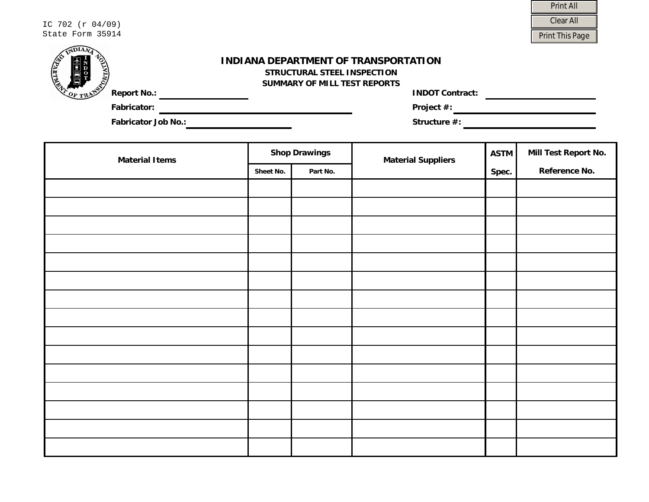| IC 702 (r 04/09) | Clear All      |
|------------------|----------------|
| State Form 35914 | Print This Pag |

| <b>Print All</b>       |  |  |  |
|------------------------|--|--|--|
| Clear All              |  |  |  |
| <b>Print This Page</b> |  |  |  |

| <b>THEFT</b>                    | INDIANA DEPARTMENT OF TRANSPORTATION<br>STRUCTURAL STEEL INSPECTION<br>SUMMARY OF MILL TEST REPORTS |
|---------------------------------|-----------------------------------------------------------------------------------------------------|
| <b>Report No.:</b><br>$O_F$ TRA | <b>INDOT Contract:</b>                                                                              |
| <b>Fabricator:</b>              | Project $#$ :                                                                                       |
| <b>Fabricator Job No.:</b>      | Structure $#$ :                                                                                     |

| <b>Material Items</b> | <b>Shop Drawings</b> |          | <b>Material Suppliers</b> | <b>ASTM</b> | Mill Test Report No. |
|-----------------------|----------------------|----------|---------------------------|-------------|----------------------|
|                       | Sheet No.            | Part No. |                           | Spec.       | Reference No.        |
|                       |                      |          |                           |             |                      |
|                       |                      |          |                           |             |                      |
|                       |                      |          |                           |             |                      |
|                       |                      |          |                           |             |                      |
|                       |                      |          |                           |             |                      |
|                       |                      |          |                           |             |                      |
|                       |                      |          |                           |             |                      |
|                       |                      |          |                           |             |                      |
|                       |                      |          |                           |             |                      |
|                       |                      |          |                           |             |                      |
|                       |                      |          |                           |             |                      |
|                       |                      |          |                           |             |                      |
|                       |                      |          |                           |             |                      |
|                       |                      |          |                           |             |                      |
|                       |                      |          |                           |             |                      |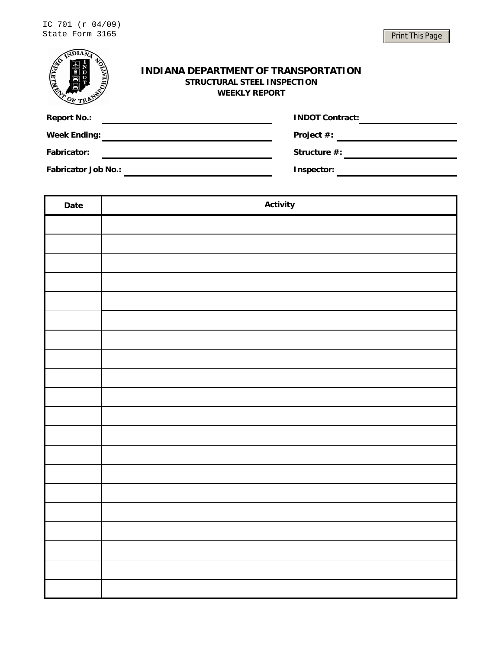| <b>MITHING</b>      | <b>INDIANA DEPARTMENT OF TRANSPORTATION</b><br>PORTA<br>STRUCTURAL STEEL INSPECTION<br><b>WEEKLY REPORT</b> |  |  |  |  |
|---------------------|-------------------------------------------------------------------------------------------------------------|--|--|--|--|
| <b>Report No.:</b>  | <b>INDOT Contract:</b>                                                                                      |  |  |  |  |
| <b>Week Ending:</b> | Project #:                                                                                                  |  |  |  |  |
| <b>Fabricator:</b>  | Structure #:                                                                                                |  |  |  |  |
|                     | <b>Fabricator Job No.:</b><br>Inspector:                                                                    |  |  |  |  |
|                     |                                                                                                             |  |  |  |  |
| Date                | <b>Activity</b>                                                                                             |  |  |  |  |

| Date | <b>Rouvity</b> |
|------|----------------|
|      |                |
|      |                |
|      |                |
|      |                |
|      |                |
|      |                |
|      |                |
|      |                |
|      |                |
|      |                |
|      |                |
|      |                |
|      |                |
|      |                |
|      |                |
|      |                |
|      |                |
|      |                |
|      |                |
|      |                |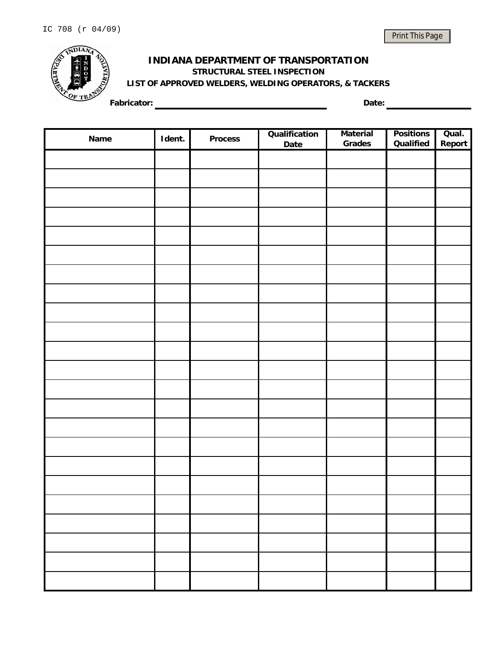

## **INDIANA DEPARTMENT OF TRANSPORTATION LIST OF APPROVED WELDERS, WELDING OPERATORS, & TACKERS STRUCTURAL STEEL INSPECTION**

**Fabricator: Date:**

| Name | Ident. | <b>Process</b> | Qualification<br>Date | <b>Material</b><br>Grades | <b>Positions</b><br>Qualified | Qual.<br>Report |
|------|--------|----------------|-----------------------|---------------------------|-------------------------------|-----------------|
|      |        |                |                       |                           |                               |                 |
|      |        |                |                       |                           |                               |                 |
|      |        |                |                       |                           |                               |                 |
|      |        |                |                       |                           |                               |                 |
|      |        |                |                       |                           |                               |                 |
|      |        |                |                       |                           |                               |                 |
|      |        |                |                       |                           |                               |                 |
|      |        |                |                       |                           |                               |                 |
|      |        |                |                       |                           |                               |                 |
|      |        |                |                       |                           |                               |                 |
|      |        |                |                       |                           |                               |                 |
|      |        |                |                       |                           |                               |                 |
|      |        |                |                       |                           |                               |                 |
|      |        |                |                       |                           |                               |                 |
|      |        |                |                       |                           |                               |                 |
|      |        |                |                       |                           |                               |                 |
|      |        |                |                       |                           |                               |                 |
|      |        |                |                       |                           |                               |                 |
|      |        |                |                       |                           |                               |                 |
|      |        |                |                       |                           |                               |                 |
|      |        |                |                       |                           |                               |                 |
|      |        |                |                       |                           |                               |                 |
|      |        |                |                       |                           |                               |                 |
|      |        |                |                       |                           |                               |                 |